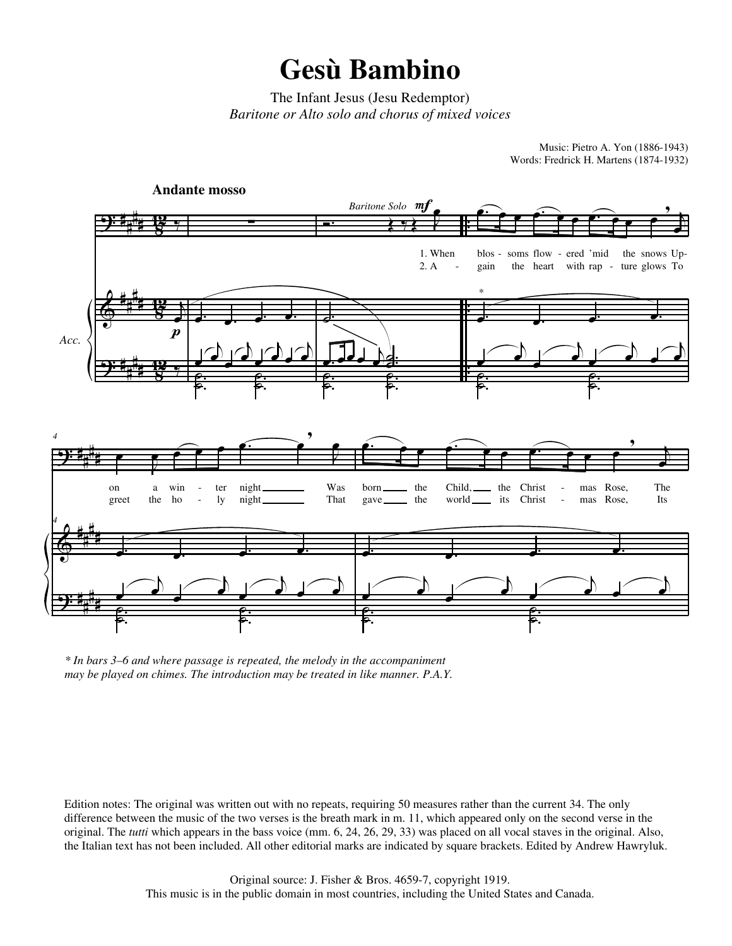The Infant Jesus (Jesu Redemptor) *Baritone or Alto solo and chorus of mixed voices*

> Music: Pietro A. Yon (1886-1943) Words: Fredrick H. Martens (1874-1932)



*\* In bars 3–6 and where passage is repeated, the melody in the accompaniment may be played on chimes. The introduction may be treated in like manner. P.A.Y.*

Edition notes: The original was written out with no repeats, requiring 50 measures rather than the current 34. The only difference between the music of the two verses is the breath mark in m. 11, which appeared only on the second verse in the original. The *tutti* which appears in the bass voice (mm. 6, 24, 26, 29, 33) was placed on all vocal staves in the original. Also, the Italian text has not been included. All other editorial marks are indicated by square brackets. Edited by Andrew Hawryluk.

> Original source: J. Fisher & Bros. 4659-7, copyright 1919. This music is in the public domain in most countries, including the United States and Canada.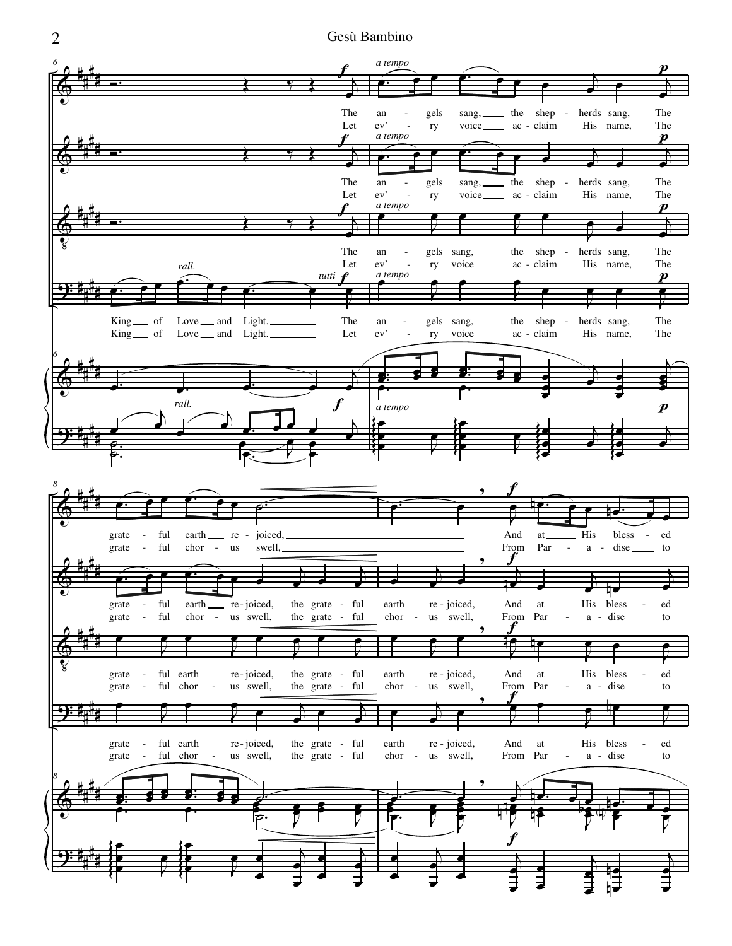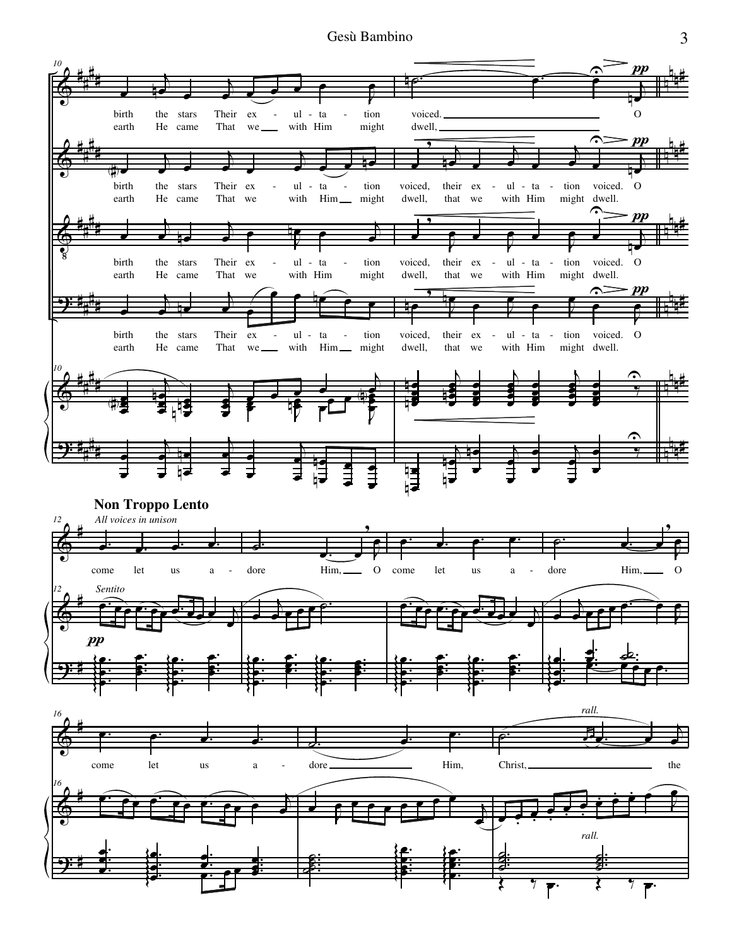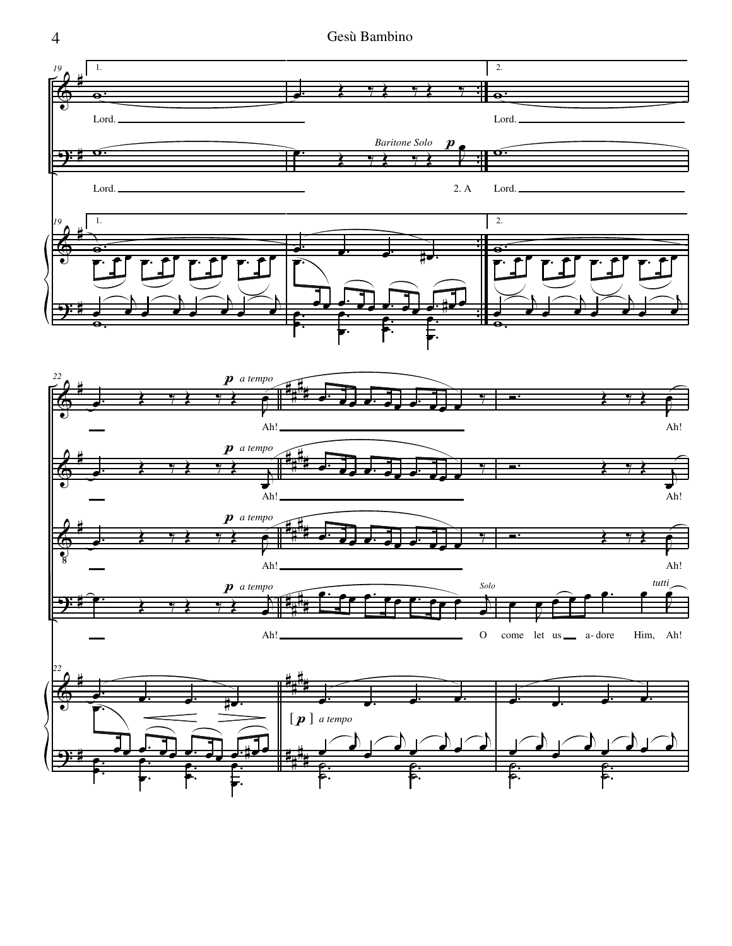

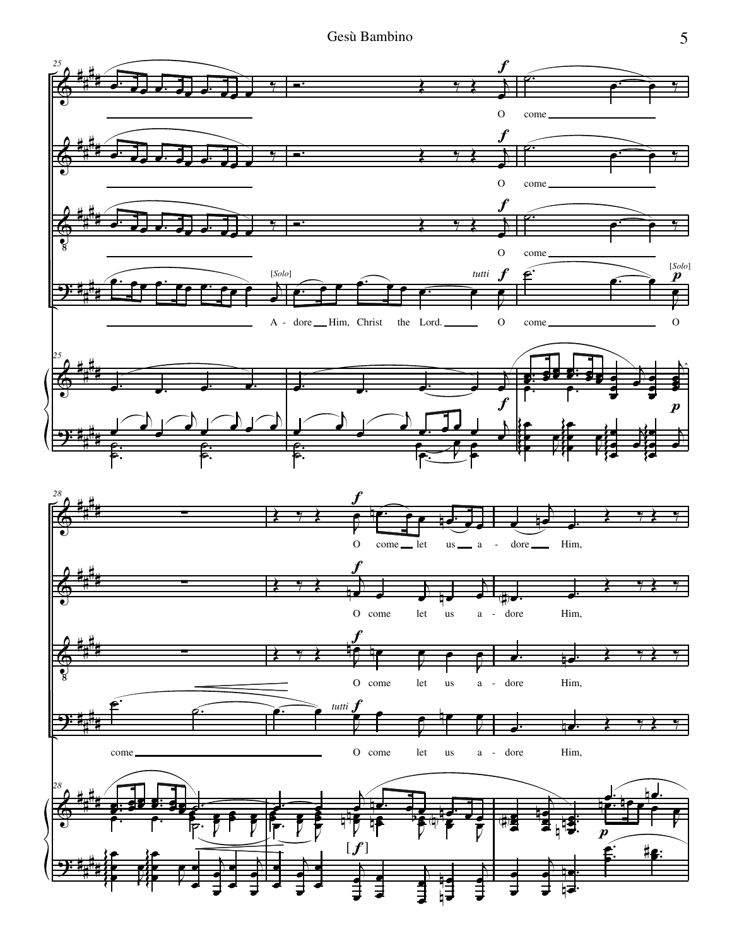